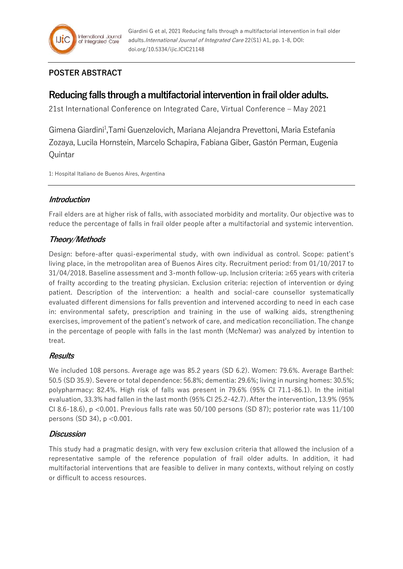## **POSTER ABSTRACT**

# **Reducing falls through a multifactorial intervention in frail older adults.**

21st International Conference on Integrated Care, Virtual Conference – May 2021

Gimena Giardini<sup>1</sup>, Tami Guenzelovich, Mariana Alejandra Prevettoni, Maria Estefanía Zozaya, Lucila Hornstein, Marcelo Schapira, Fabiana Giber, Gastón Perman, Eugenia **Quintar** 

1: Hospital Italiano de Buenos Aires, Argentina

## **Introduction**

Frail elders are at higher risk of falls, with associated morbidity and mortality. Our objective was to reduce the percentage of falls in frail older people after a multifactorial and systemic intervention.

## **Theory/Methods**

Design: before-after quasi-experimental study, with own individual as control. Scope: patient's living place, in the metropolitan area of Buenos Aires city. Recruitment period: from 01/10/2017 to 31/04/2018. Baseline assessment and 3-month follow-up. Inclusion criteria: ≥65 years with criteria of frailty according to the treating physician. Exclusion criteria: rejection of intervention or dying patient. Description of the intervention: a health and social-care counsellor systematically evaluated different dimensions for falls prevention and intervened according to need in each case in: environmental safety, prescription and training in the use of walking aids, strengthening exercises, improvement of the patient's network of care, and medication reconciliation. The change in the percentage of people with falls in the last month (McNemar) was analyzed by intention to treat.

## **Results**

We included 108 persons. Average age was 85.2 years (SD 6.2). Women: 79.6%. Average Barthel: 50.5 (SD 35.9). Severe or total dependence: 56.8%; dementia: 29.6%; living in nursing homes: 30.5%; polypharmacy: 82.4%. High risk of falls was present in 79.6% (95% CI 71.1-86.1). In the initial evaluation, 33.3% had fallen in the last month (95% CI 25.2-42.7). After the intervention, 13.9% (95% CI 8.6-18.6),  $p < 0.001$ . Previous falls rate was 50/100 persons (SD 87); posterior rate was  $11/100$ persons (SD 34), p <0.001.

## **Discussion**

This study had a pragmatic design, with very few exclusion criteria that allowed the inclusion of a representative sample of the reference population of frail older adults. In addition, it had multifactorial interventions that are feasible to deliver in many contexts, without relying on costly or difficult to access resources.